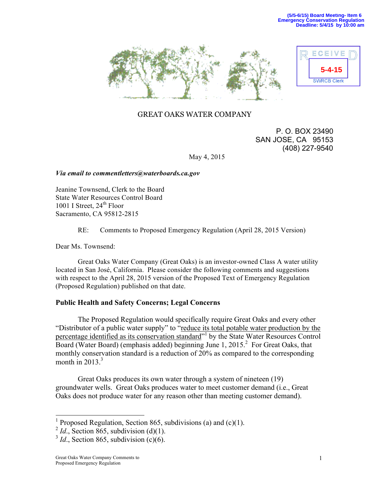



# GREAT OAKS WATER COMPANY

 P. O. BOX 23490 SAN JOSE, CA 95153 (408) 227-9540

May 4, 2015

## *Via email to commentletters@waterboards.ca.gov*

Jeanine Townsend, Clerk to the Board State Water Resources Control Board 1001 I Street,  $24<sup>th</sup>$  Floor Sacramento, CA 95812-2815

## RE: Comments to Proposed Emergency Regulation (April 28, 2015 Version)

Dear Ms. Townsend:

Great Oaks Water Company (Great Oaks) is an investor-owned Class A water utility located in San José, California. Please consider the following comments and suggestions with respect to the April 28, 2015 version of the Proposed Text of Emergency Regulation (Proposed Regulation) published on that date.

## **Public Health and Safety Concerns; Legal Concerns**

The Proposed Regulation would specifically require Great Oaks and every other "Distributor of a public water supply" to "reduce its total potable water production by the percentage identified as its conservation standard<sup>"1</sup> by the State Water Resources Control Board (Water Board) (emphasis added) beginning June 1, 2015.<sup>2</sup> For Great Oaks, that monthly conservation standard is a reduction of 20% as compared to the corresponding month in  $2013.<sup>3</sup>$ 

Great Oaks produces its own water through a system of nineteen (19) groundwater wells. Great Oaks produces water to meet customer demand (i.e., Great Oaks does not produce water for any reason other than meeting customer demand).

 <sup>1</sup> Proposed Regulation, Section 865, subdivisions (a) and (c)(1).

 $^{2}$  *Id.*, Section 865, subdivision (d)(1).

 $3$  *Id.*, Section 865, subdivision (c)(6).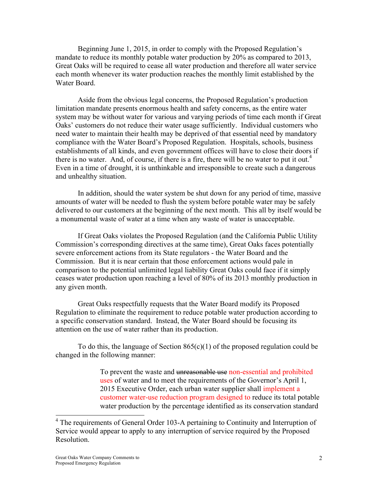Beginning June 1, 2015, in order to comply with the Proposed Regulation's mandate to reduce its monthly potable water production by 20% as compared to 2013, Great Oaks will be required to cease all water production and therefore all water service each month whenever its water production reaches the monthly limit established by the Water Board.

Aside from the obvious legal concerns, the Proposed Regulation's production limitation mandate presents enormous health and safety concerns, as the entire water system may be without water for various and varying periods of time each month if Great Oaks' customers do not reduce their water usage sufficiently. Individual customers who need water to maintain their health may be deprived of that essential need by mandatory compliance with the Water Board's Proposed Regulation. Hospitals, schools, business establishments of all kinds, and even government offices will have to close their doors if there is no water. And, of course, if there is a fire, there will be no water to put it out.<sup>4</sup> Even in a time of drought, it is unthinkable and irresponsible to create such a dangerous and unhealthy situation.

In addition, should the water system be shut down for any period of time, massive amounts of water will be needed to flush the system before potable water may be safely delivered to our customers at the beginning of the next month. This all by itself would be a monumental waste of water at a time when any waste of water is unacceptable.

If Great Oaks violates the Proposed Regulation (and the California Public Utility Commission's corresponding directives at the same time), Great Oaks faces potentially severe enforcement actions from its State regulators - the Water Board and the Commission. But it is near certain that those enforcement actions would pale in comparison to the potential unlimited legal liability Great Oaks could face if it simply ceases water production upon reaching a level of 80% of its 2013 monthly production in any given month.

Great Oaks respectfully requests that the Water Board modify its Proposed Regulation to eliminate the requirement to reduce potable water production according to a specific conservation standard. Instead, the Water Board should be focusing its attention on the use of water rather than its production.

To do this, the language of Section  $865(c)(1)$  of the proposed regulation could be changed in the following manner:

> To prevent the waste and unreasonable use non-essential and prohibited uses of water and to meet the requirements of the Governor's April 1, 2015 Executive Order, each urban water supplier shall implement a customer water-use reduction program designed to reduce its total potable water production by the percentage identified as its conservation standard

<sup>&</sup>lt;sup>4</sup> The requirements of General Order 103-A pertaining to Continuity and Interruption of Service would appear to apply to any interruption of service required by the Proposed Resolution.